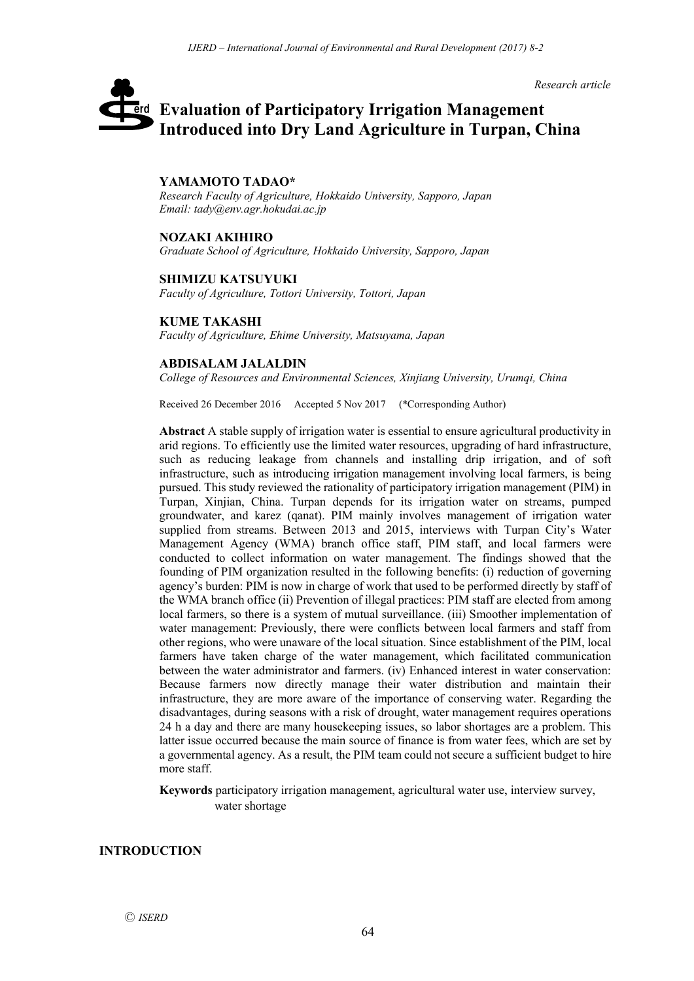*Research article*

# **Evaluation of Participatory Irrigation Management**  erd **Introduced into Dry Land Agriculture in Turpan, China**

### **YAMAMOTO TADAO\***

*Research Faculty of Agriculture, Hokkaido University, Sapporo, Japan Email: tady@env.agr.hokudai.ac.jp*

#### **NOZAKI AKIHIRO**

*Graduate School of Agriculture, Hokkaido University, Sapporo, Japan*

#### **SHIMIZU KATSUYUKI**

*Faculty of Agriculture, Tottori University, Tottori, Japan*

#### **KUME TAKASHI**

*Faculty of Agriculture, Ehime University, Matsuyama, Japan*

#### **ABDISALAM JALALDIN**

*College of Resources and Environmental Sciences, Xinjiang University, Urumqi, China*

Received 26 December 2016 Accepted 5 Nov 2017 (\*Corresponding Author)

**Abstract** A stable supply of irrigation water is essential to ensure agricultural productivity in arid regions. To efficiently use the limited water resources, upgrading of hard infrastructure, such as reducing leakage from channels and installing drip irrigation, and of soft infrastructure, such as introducing irrigation management involving local farmers, is being pursued. This study reviewed the rationality of participatory irrigation management (PIM) in Turpan, Xinjian, China. Turpan depends for its irrigation water on streams, pumped groundwater, and karez (qanat). PIM mainly involves management of irrigation water supplied from streams. Between 2013 and 2015, interviews with Turpan City's Water Management Agency (WMA) branch office staff, PIM staff, and local farmers were conducted to collect information on water management. The findings showed that the founding of PIM organization resulted in the following benefits: (i) reduction of governing agency's burden: PIM is now in charge of work that used to be performed directly by staff of the WMA branch office (ii) Prevention of illegal practices: PIM staff are elected from among local farmers, so there is a system of mutual surveillance. (iii) Smoother implementation of water management: Previously, there were conflicts between local farmers and staff from other regions, who were unaware of the local situation. Since establishment of the PIM, local farmers have taken charge of the water management, which facilitated communication between the water administrator and farmers. (iv) Enhanced interest in water conservation: Because farmers now directly manage their water distribution and maintain their infrastructure, they are more aware of the importance of conserving water. Regarding the disadvantages, during seasons with a risk of drought, water management requires operations 24 h a day and there are many housekeeping issues, so labor shortages are a problem. This latter issue occurred because the main source of finance is from water fees, which are set by a governmental agency. As a result, the PIM team could not secure a sufficient budget to hire more staff.

**Keywords** participatory irrigation management, agricultural water use, interview survey, water shortage

## **INTRODUCTION**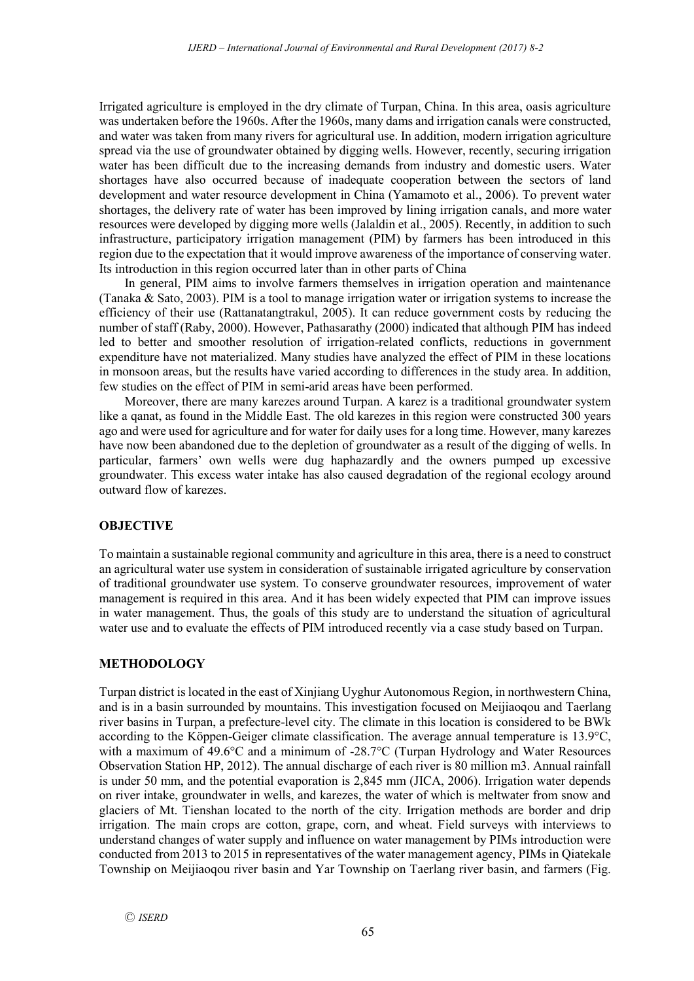Irrigated agriculture is employed in the dry climate of Turpan, China. In this area, oasis agriculture was undertaken before the 1960s. After the 1960s, many dams and irrigation canals were constructed, and water was taken from many rivers for agricultural use. In addition, modern irrigation agriculture spread via the use of groundwater obtained by digging wells. However, recently, securing irrigation water has been difficult due to the increasing demands from industry and domestic users. Water shortages have also occurred because of inadequate cooperation between the sectors of land development and water resource development in China (Yamamoto et al., 2006). To prevent water shortages, the delivery rate of water has been improved by lining irrigation canals, and more water resources were developed by digging more wells (Jalaldin et al., 2005). Recently, in addition to such infrastructure, participatory irrigation management (PIM) by farmers has been introduced in this region due to the expectation that it would improve awareness of the importance of conserving water. Its introduction in this region occurred later than in other parts of China

In general, PIM aims to involve farmers themselves in irrigation operation and maintenance (Tanaka & Sato, 2003). PIM is a tool to manage irrigation water or irrigation systems to increase the efficiency of their use (Rattanatangtrakul, 2005). It can reduce government costs by reducing the number of staff (Raby, 2000). However, Pathasarathy (2000) indicated that although PIM has indeed led to better and smoother resolution of irrigation-related conflicts, reductions in government expenditure have not materialized. Many studies have analyzed the effect of PIM in these locations in monsoon areas, but the results have varied according to differences in the study area. In addition, few studies on the effect of PIM in semi-arid areas have been performed.

Moreover, there are many karezes around Turpan. A karez is a traditional groundwater system like a qanat, as found in the Middle East. The old karezes in this region were constructed 300 years ago and were used for agriculture and for water for daily uses for a long time. However, many karezes have now been abandoned due to the depletion of groundwater as a result of the digging of wells. In particular, farmers' own wells were dug haphazardly and the owners pumped up excessive groundwater. This excess water intake has also caused degradation of the regional ecology around outward flow of karezes.

# **OBJECTIVE**

To maintain a sustainable regional community and agriculture in this area, there is a need to construct an agricultural water use system in consideration of sustainable irrigated agriculture by conservation of traditional groundwater use system. To conserve groundwater resources, improvement of water management is required in this area. And it has been widely expected that PIM can improve issues in water management. Thus, the goals of this study are to understand the situation of agricultural water use and to evaluate the effects of PIM introduced recently via a case study based on Turpan.

# **METHODOLOGY**

Turpan district is located in the east of Xinjiang Uyghur Autonomous Region, in northwestern China, and is in a basin surrounded by mountains. This investigation focused on Meijiaoqou and Taerlang river basins in Turpan, a prefecture-level city. The climate in this location is considered to be BWk according to the Köppen-Geiger climate classification. The average annual temperature is 13.9°C, with a maximum of 49.6°C and a minimum of -28.7°C (Turpan Hydrology and Water Resources Observation Station HP, 2012). The annual discharge of each river is 80 million m3. Annual rainfall is under 50 mm, and the potential evaporation is 2,845 mm (JICA, 2006). Irrigation water depends on river intake, groundwater in wells, and karezes, the water of which is meltwater from snow and glaciers of Mt. Tienshan located to the north of the city. Irrigation methods are border and drip irrigation. The main crops are cotton, grape, corn, and wheat. Field surveys with interviews to understand changes of water supply and influence on water management by PIMs introduction were conducted from 2013 to 2015 in representatives of the water management agency, PIMs in Qiatekale Township on Meijiaoqou river basin and Yar Township on Taerlang river basin, and farmers (Fig.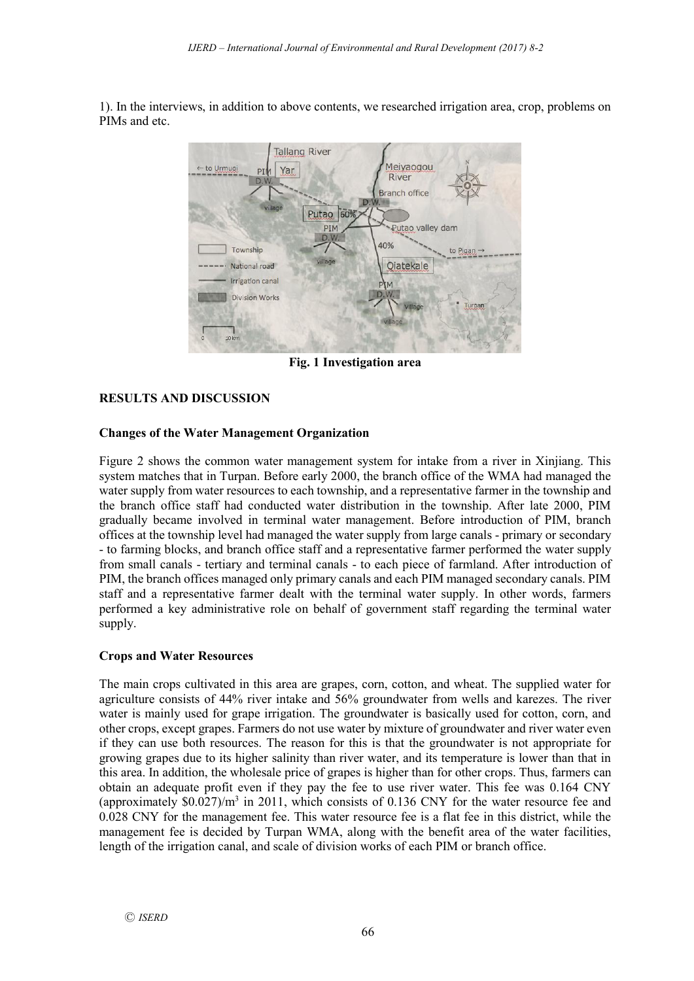1). In the interviews, in addition to above contents, we researched irrigation area, crop, problems on PIMs and etc.



**Fig. 1 Investigation area**

# **RESULTS AND DISCUSSION**

# **Changes of the Water Management Organization**

Figure 2 shows the common water management system for intake from a river in Xinjiang. This system matches that in Turpan. Before early 2000, the branch office of the WMA had managed the water supply from water resources to each township, and a representative farmer in the township and the branch office staff had conducted water distribution in the township. After late 2000, PIM gradually became involved in terminal water management. Before introduction of PIM, branch offices at the township level had managed the water supply from large canals - primary or secondary - to farming blocks, and branch office staff and a representative farmer performed the water supply from small canals - tertiary and terminal canals - to each piece of farmland. After introduction of PIM, the branch offices managed only primary canals and each PIM managed secondary canals. PIM staff and a representative farmer dealt with the terminal water supply. In other words, farmers performed a key administrative role on behalf of government staff regarding the terminal water supply.

## **Crops and Water Resources**

The main crops cultivated in this area are grapes, corn, cotton, and wheat. The supplied water for agriculture consists of 44% river intake and 56% groundwater from wells and karezes. The river water is mainly used for grape irrigation. The groundwater is basically used for cotton, corn, and other crops, except grapes. Farmers do not use water by mixture of groundwater and river water even if they can use both resources. The reason for this is that the groundwater is not appropriate for growing grapes due to its higher salinity than river water, and its temperature is lower than that in this area. In addition, the wholesale price of grapes is higher than for other crops. Thus, farmers can obtain an adequate profit even if they pay the fee to use river water. This fee was 0.164 CNY (approximately  $$0.027$ )/m<sup>3</sup> in 2011, which consists of 0.136 CNY for the water resource fee and 0.028 CNY for the management fee. This water resource fee is a flat fee in this district, while the management fee is decided by Turpan WMA, along with the benefit area of the water facilities, length of the irrigation canal, and scale of division works of each PIM or branch office.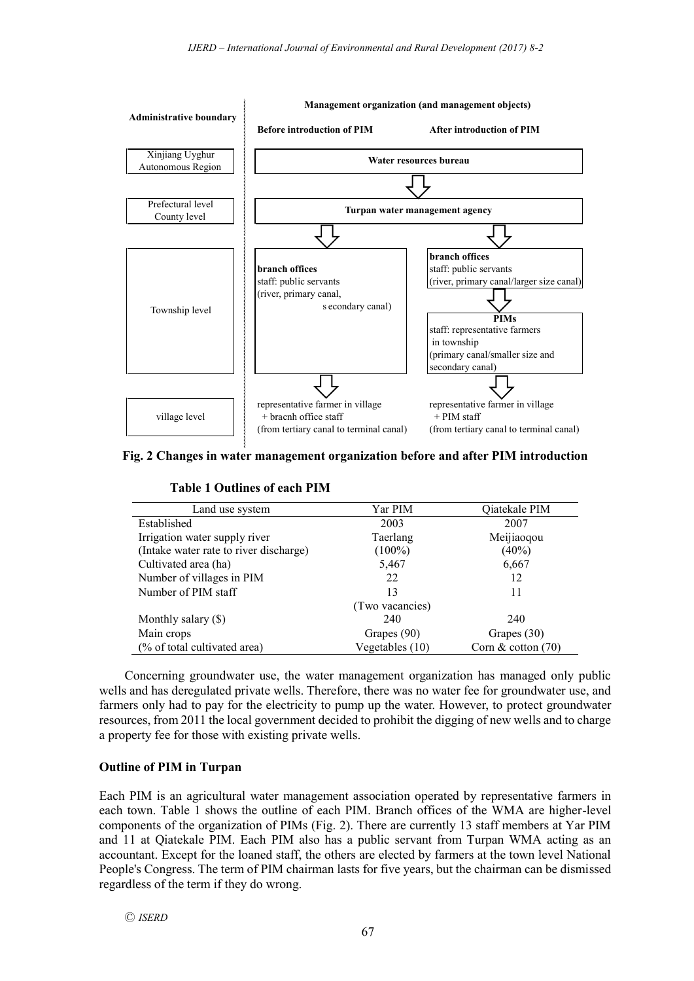

**Fig. 2 Changes in water management organization before and after PIM introduction**

|  | <b>Table 1 Outlines of each PIM</b> |  |  |
|--|-------------------------------------|--|--|
|--|-------------------------------------|--|--|

| Land use system                        | Yar PIM         | Qiatekale PIM        |  |
|----------------------------------------|-----------------|----------------------|--|
| Established                            | 2003            | 2007                 |  |
| Irrigation water supply river          | Taerlang        | Meijiaoqou           |  |
| (Intake water rate to river discharge) | $(100\%)$       | $(40\%)$             |  |
| Cultivated area (ha)                   | 5,467           | 6,667                |  |
| Number of villages in PIM              | 22              | 12                   |  |
| Number of PIM staff                    | 13              | 11                   |  |
|                                        | (Two vacancies) |                      |  |
| Monthly salary $(\$)$                  | 240             | 240                  |  |
| Main crops                             | Grapes (90)     | Grapes (30)          |  |
| (% of total cultivated area)           | Vegetables (10) | Corn $&$ cotton (70) |  |

Concerning groundwater use, the water management organization has managed only public wells and has deregulated private wells. Therefore, there was no water fee for groundwater use, and farmers only had to pay for the electricity to pump up the water. However, to protect groundwater resources, from 2011 the local government decided to prohibit the digging of new wells and to charge a property fee for those with existing private wells.

## **Outline of PIM in Turpan**

Each PIM is an agricultural water management association operated by representative farmers in each town. Table 1 shows the outline of each PIM. Branch offices of the WMA are higher-level components of the organization of PIMs (Fig. 2). There are currently 13 staff members at Yar PIM and 11 at Qiatekale PIM. Each PIM also has a public servant from Turpan WMA acting as an accountant. Except for the loaned staff, the others are elected by farmers at the town level National People's Congress. The term of PIM chairman lasts for five years, but the chairman can be dismissed regardless of the term if they do wrong.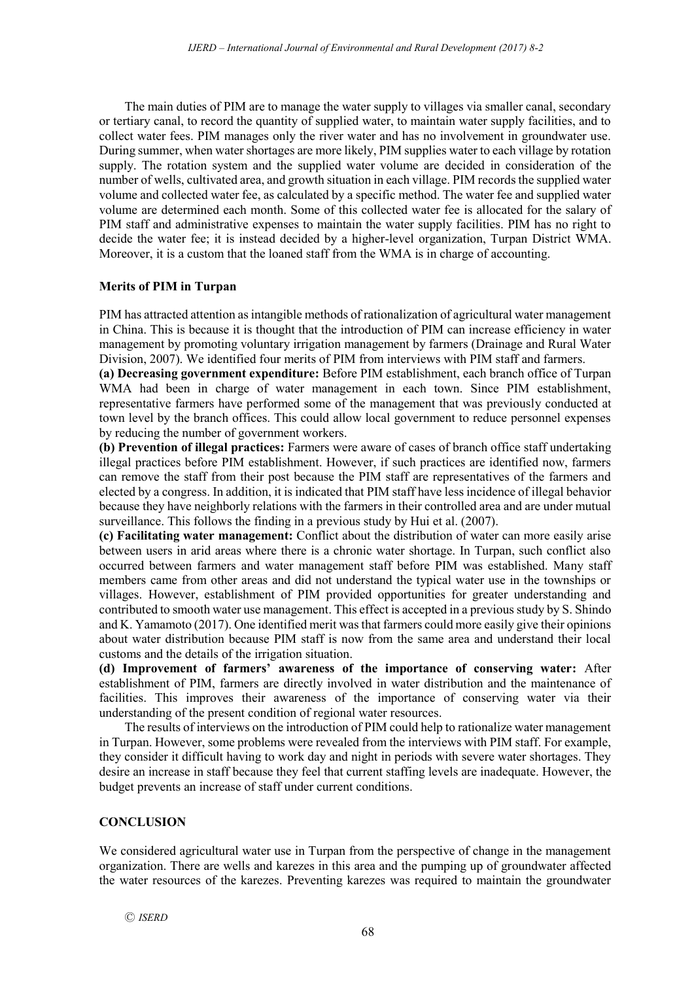The main duties of PIM are to manage the water supply to villages via smaller canal, secondary or tertiary canal, to record the quantity of supplied water, to maintain water supply facilities, and to collect water fees. PIM manages only the river water and has no involvement in groundwater use. During summer, when water shortages are more likely, PIM supplies water to each village by rotation supply. The rotation system and the supplied water volume are decided in consideration of the number of wells, cultivated area, and growth situation in each village. PIM records the supplied water volume and collected water fee, as calculated by a specific method. The water fee and supplied water volume are determined each month. Some of this collected water fee is allocated for the salary of PIM staff and administrative expenses to maintain the water supply facilities. PIM has no right to decide the water fee; it is instead decided by a higher-level organization, Turpan District WMA. Moreover, it is a custom that the loaned staff from the WMA is in charge of accounting.

# **Merits of PIM in Turpan**

PIM has attracted attention as intangible methods of rationalization of agricultural water management in China. This is because it is thought that the introduction of PIM can increase efficiency in water management by promoting voluntary irrigation management by farmers (Drainage and Rural Water Division, 2007). We identified four merits of PIM from interviews with PIM staff and farmers.

**(a) Decreasing government expenditure:** Before PIM establishment, each branch office of Turpan WMA had been in charge of water management in each town. Since PIM establishment, representative farmers have performed some of the management that was previously conducted at town level by the branch offices. This could allow local government to reduce personnel expenses by reducing the number of government workers.

**(b) Prevention of illegal practices:** Farmers were aware of cases of branch office staff undertaking illegal practices before PIM establishment. However, if such practices are identified now, farmers can remove the staff from their post because the PIM staff are representatives of the farmers and elected by a congress. In addition, it is indicated that PIM staff have less incidence of illegal behavior because they have neighborly relations with the farmers in their controlled area and are under mutual surveillance. This follows the finding in a previous study by Hui et al. (2007).

**(c) Facilitating water management:** Conflict about the distribution of water can more easily arise between users in arid areas where there is a chronic water shortage. In Turpan, such conflict also occurred between farmers and water management staff before PIM was established. Many staff members came from other areas and did not understand the typical water use in the townships or villages. However, establishment of PIM provided opportunities for greater understanding and contributed to smooth water use management. This effect is accepted in a previous study by S. Shindo and K. Yamamoto (2017). One identified merit was that farmers could more easily give their opinions about water distribution because PIM staff is now from the same area and understand their local customs and the details of the irrigation situation.

**(d) Improvement of farmers' awareness of the importance of conserving water:** After establishment of PIM, farmers are directly involved in water distribution and the maintenance of facilities. This improves their awareness of the importance of conserving water via their understanding of the present condition of regional water resources.

The results of interviews on the introduction of PIM could help to rationalize water management in Turpan. However, some problems were revealed from the interviews with PIM staff. For example, they consider it difficult having to work day and night in periods with severe water shortages. They desire an increase in staff because they feel that current staffing levels are inadequate. However, the budget prevents an increase of staff under current conditions.

# **CONCLUSION**

We considered agricultural water use in Turpan from the perspective of change in the management organization. There are wells and karezes in this area and the pumping up of groundwater affected the water resources of the karezes. Preventing karezes was required to maintain the groundwater